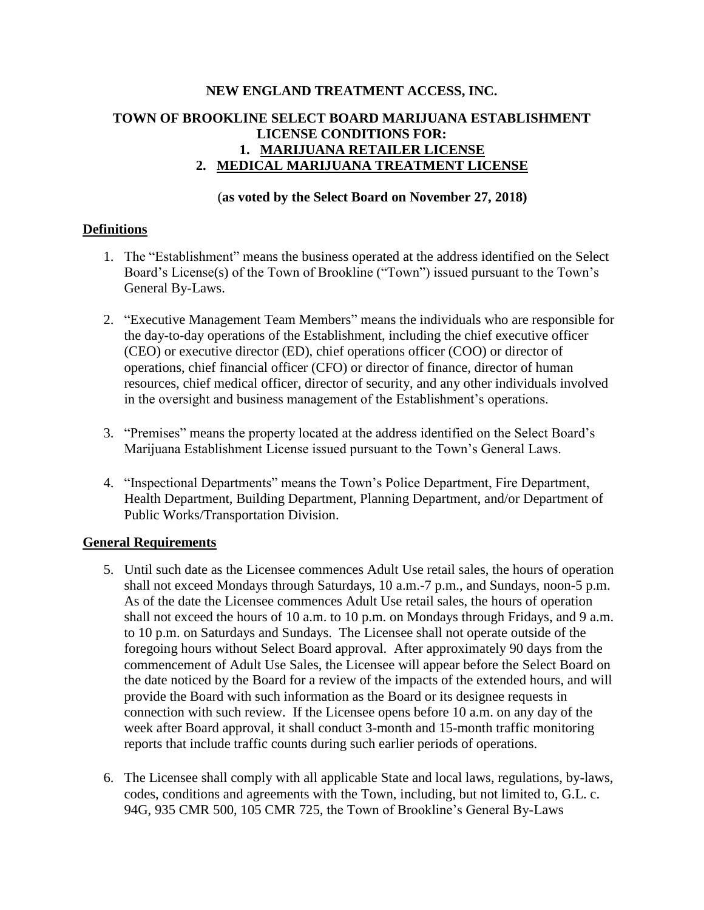# **NEW ENGLAND TREATMENT ACCESS, INC. TOWN OF BROOKLINE SELECT BOARD MARIJUANA ESTABLISHMENT LICENSE CONDITIONS FOR: 1. MARIJUANA RETAILER LICENSE 2. MEDICAL MARIJUANA TREATMENT LICENSE**

#### (**as voted by the Select Board on November 27, 2018)**

#### **Definitions**

- 1. The "Establishment" means the business operated at the address identified on the Select Board's License(s) of the Town of Brookline ("Town") issued pursuant to the Town's General By-Laws.
- 2. "Executive Management Team Members" means the individuals who are responsible for the day-to-day operations of the Establishment, including the chief executive officer (CEO) or executive director (ED), chief operations officer (COO) or director of operations, chief financial officer (CFO) or director of finance, director of human resources, chief medical officer, director of security, and any other individuals involved in the oversight and business management of the Establishment's operations.
- 3. "Premises" means the property located at the address identified on the Select Board's Marijuana Establishment License issued pursuant to the Town's General Laws.
- 4. "Inspectional Departments" means the Town's Police Department, Fire Department, Health Department, Building Department, Planning Department, and/or Department of Public Works/Transportation Division.

#### **General Requirements**

- 5. Until such date as the Licensee commences Adult Use retail sales, the hours of operation shall not exceed Mondays through Saturdays, 10 a.m.-7 p.m., and Sundays, noon-5 p.m. As of the date the Licensee commences Adult Use retail sales, the hours of operation shall not exceed the hours of 10 a.m. to 10 p.m. on Mondays through Fridays, and 9 a.m. to 10 p.m. on Saturdays and Sundays. The Licensee shall not operate outside of the foregoing hours without Select Board approval. After approximately 90 days from the commencement of Adult Use Sales, the Licensee will appear before the Select Board on the date noticed by the Board for a review of the impacts of the extended hours, and will provide the Board with such information as the Board or its designee requests in connection with such review. If the Licensee opens before 10 a.m. on any day of the week after Board approval, it shall conduct 3-month and 15-month traffic monitoring reports that include traffic counts during such earlier periods of operations.
- 6. The Licensee shall comply with all applicable State and local laws, regulations, by-laws, codes, conditions and agreements with the Town, including, but not limited to, G.L. c. 94G, 935 CMR 500, 105 CMR 725, the Town of Brookline's General By-Laws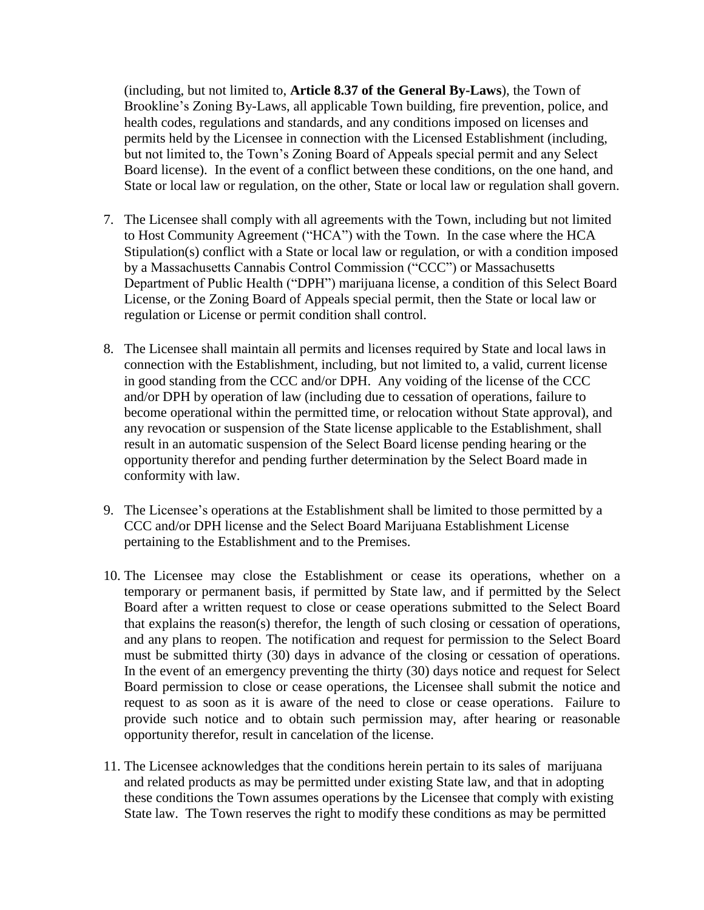(including, but not limited to, **Article 8.37 of the General By-Laws**), the Town of Brookline's Zoning By-Laws, all applicable Town building, fire prevention, police, and health codes, regulations and standards, and any conditions imposed on licenses and permits held by the Licensee in connection with the Licensed Establishment (including, but not limited to, the Town's Zoning Board of Appeals special permit and any Select Board license). In the event of a conflict between these conditions, on the one hand, and State or local law or regulation, on the other, State or local law or regulation shall govern.

- 7. The Licensee shall comply with all agreements with the Town, including but not limited to Host Community Agreement ("HCA") with the Town. In the case where the HCA Stipulation(s) conflict with a State or local law or regulation, or with a condition imposed by a Massachusetts Cannabis Control Commission ("CCC") or Massachusetts Department of Public Health ("DPH") marijuana license, a condition of this Select Board License, or the Zoning Board of Appeals special permit, then the State or local law or regulation or License or permit condition shall control.
- 8. The Licensee shall maintain all permits and licenses required by State and local laws in connection with the Establishment, including, but not limited to, a valid, current license in good standing from the CCC and/or DPH. Any voiding of the license of the CCC and/or DPH by operation of law (including due to cessation of operations, failure to become operational within the permitted time, or relocation without State approval), and any revocation or suspension of the State license applicable to the Establishment, shall result in an automatic suspension of the Select Board license pending hearing or the opportunity therefor and pending further determination by the Select Board made in conformity with law.
- 9. The Licensee's operations at the Establishment shall be limited to those permitted by a CCC and/or DPH license and the Select Board Marijuana Establishment License pertaining to the Establishment and to the Premises.
- 10. The Licensee may close the Establishment or cease its operations, whether on a temporary or permanent basis, if permitted by State law, and if permitted by the Select Board after a written request to close or cease operations submitted to the Select Board that explains the reason(s) therefor, the length of such closing or cessation of operations, and any plans to reopen. The notification and request for permission to the Select Board must be submitted thirty (30) days in advance of the closing or cessation of operations. In the event of an emergency preventing the thirty (30) days notice and request for Select Board permission to close or cease operations, the Licensee shall submit the notice and request to as soon as it is aware of the need to close or cease operations. Failure to provide such notice and to obtain such permission may, after hearing or reasonable opportunity therefor, result in cancelation of the license.
- 11. The Licensee acknowledges that the conditions herein pertain to its sales of marijuana and related products as may be permitted under existing State law, and that in adopting these conditions the Town assumes operations by the Licensee that comply with existing State law. The Town reserves the right to modify these conditions as may be permitted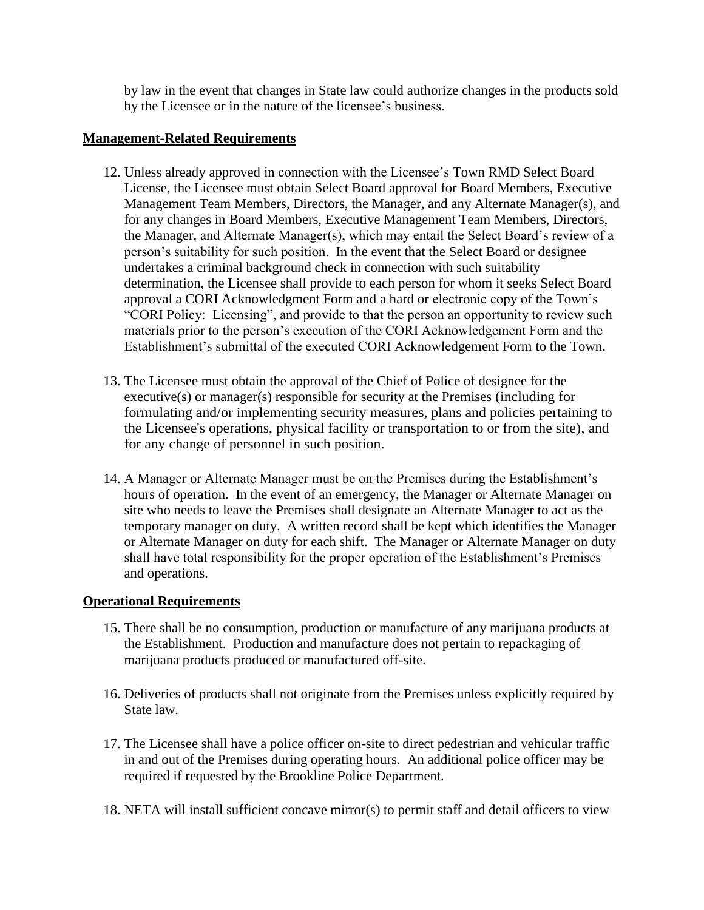by law in the event that changes in State law could authorize changes in the products sold by the Licensee or in the nature of the licensee's business.

## **Management-Related Requirements**

- 12. Unless already approved in connection with the Licensee's Town RMD Select Board License, the Licensee must obtain Select Board approval for Board Members, Executive Management Team Members, Directors, the Manager, and any Alternate Manager(s), and for any changes in Board Members, Executive Management Team Members, Directors, the Manager, and Alternate Manager(s), which may entail the Select Board's review of a person's suitability for such position. In the event that the Select Board or designee undertakes a criminal background check in connection with such suitability determination, the Licensee shall provide to each person for whom it seeks Select Board approval a CORI Acknowledgment Form and a hard or electronic copy of the Town's "CORI Policy: Licensing", and provide to that the person an opportunity to review such materials prior to the person's execution of the CORI Acknowledgement Form and the Establishment's submittal of the executed CORI Acknowledgement Form to the Town.
- 13. The Licensee must obtain the approval of the Chief of Police of designee for the executive(s) or manager(s) responsible for security at the Premises (including for formulating and/or implementing security measures, plans and policies pertaining to the Licensee's operations, physical facility or transportation to or from the site), and for any change of personnel in such position.
- 14. A Manager or Alternate Manager must be on the Premises during the Establishment's hours of operation. In the event of an emergency, the Manager or Alternate Manager on site who needs to leave the Premises shall designate an Alternate Manager to act as the temporary manager on duty. A written record shall be kept which identifies the Manager or Alternate Manager on duty for each shift. The Manager or Alternate Manager on duty shall have total responsibility for the proper operation of the Establishment's Premises and operations.

# **Operational Requirements**

- 15. There shall be no consumption, production or manufacture of any marijuana products at the Establishment. Production and manufacture does not pertain to repackaging of marijuana products produced or manufactured off-site.
- 16. Deliveries of products shall not originate from the Premises unless explicitly required by State law.
- 17. The Licensee shall have a police officer on-site to direct pedestrian and vehicular traffic in and out of the Premises during operating hours. An additional police officer may be required if requested by the Brookline Police Department.
- 18. NETA will install sufficient concave mirror(s) to permit staff and detail officers to view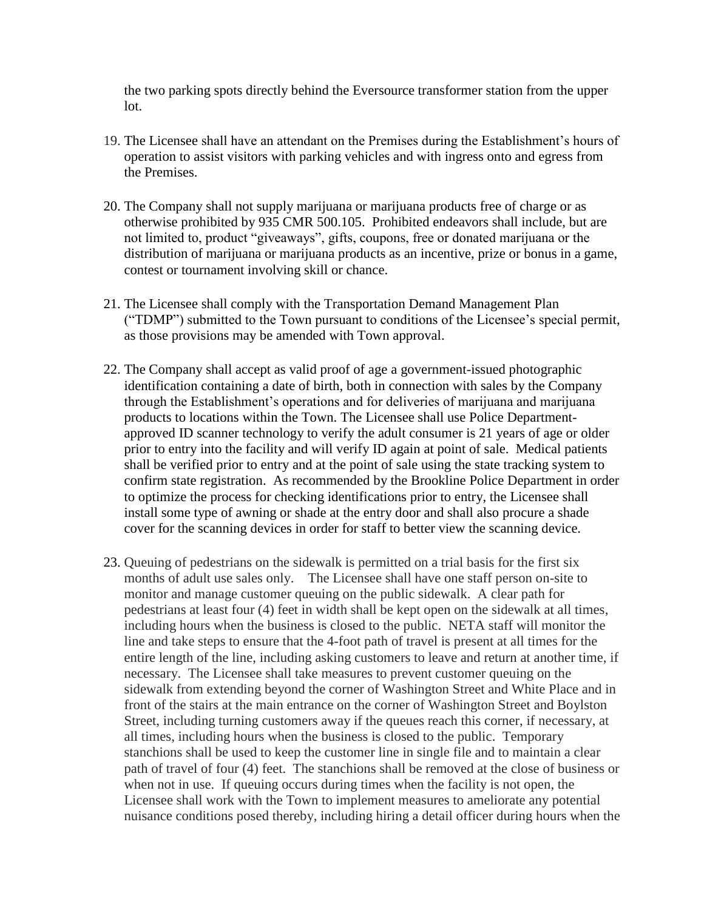the two parking spots directly behind the Eversource transformer station from the upper lot.

- 19. The Licensee shall have an attendant on the Premises during the Establishment's hours of operation to assist visitors with parking vehicles and with ingress onto and egress from the Premises.
- 20. The Company shall not supply marijuana or marijuana products free of charge or as otherwise prohibited by 935 CMR 500.105. Prohibited endeavors shall include, but are not limited to, product "giveaways", gifts, coupons, free or donated marijuana or the distribution of marijuana or marijuana products as an incentive, prize or bonus in a game, contest or tournament involving skill or chance.
- 21. The Licensee shall comply with the Transportation Demand Management Plan ("TDMP") submitted to the Town pursuant to conditions of the Licensee's special permit, as those provisions may be amended with Town approval.
- 22. The Company shall accept as valid proof of age a government-issued photographic identification containing a date of birth, both in connection with sales by the Company through the Establishment's operations and for deliveries of marijuana and marijuana products to locations within the Town. The Licensee shall use Police Departmentapproved ID scanner technology to verify the adult consumer is 21 years of age or older prior to entry into the facility and will verify ID again at point of sale. Medical patients shall be verified prior to entry and at the point of sale using the state tracking system to confirm state registration. As recommended by the Brookline Police Department in order to optimize the process for checking identifications prior to entry, the Licensee shall install some type of awning or shade at the entry door and shall also procure a shade cover for the scanning devices in order for staff to better view the scanning device.
- 23. Queuing of pedestrians on the sidewalk is permitted on a trial basis for the first six months of adult use sales only. The Licensee shall have one staff person on-site to monitor and manage customer queuing on the public sidewalk. A clear path for pedestrians at least four (4) feet in width shall be kept open on the sidewalk at all times, including hours when the business is closed to the public. NETA staff will monitor the line and take steps to ensure that the 4-foot path of travel is present at all times for the entire length of the line, including asking customers to leave and return at another time, if necessary. The Licensee shall take measures to prevent customer queuing on the sidewalk from extending beyond the corner of Washington Street and White Place and in front of the stairs at the main entrance on the corner of Washington Street and Boylston Street, including turning customers away if the queues reach this corner, if necessary, at all times, including hours when the business is closed to the public. Temporary stanchions shall be used to keep the customer line in single file and to maintain a clear path of travel of four (4) feet. The stanchions shall be removed at the close of business or when not in use. If queuing occurs during times when the facility is not open, the Licensee shall work with the Town to implement measures to ameliorate any potential nuisance conditions posed thereby, including hiring a detail officer during hours when the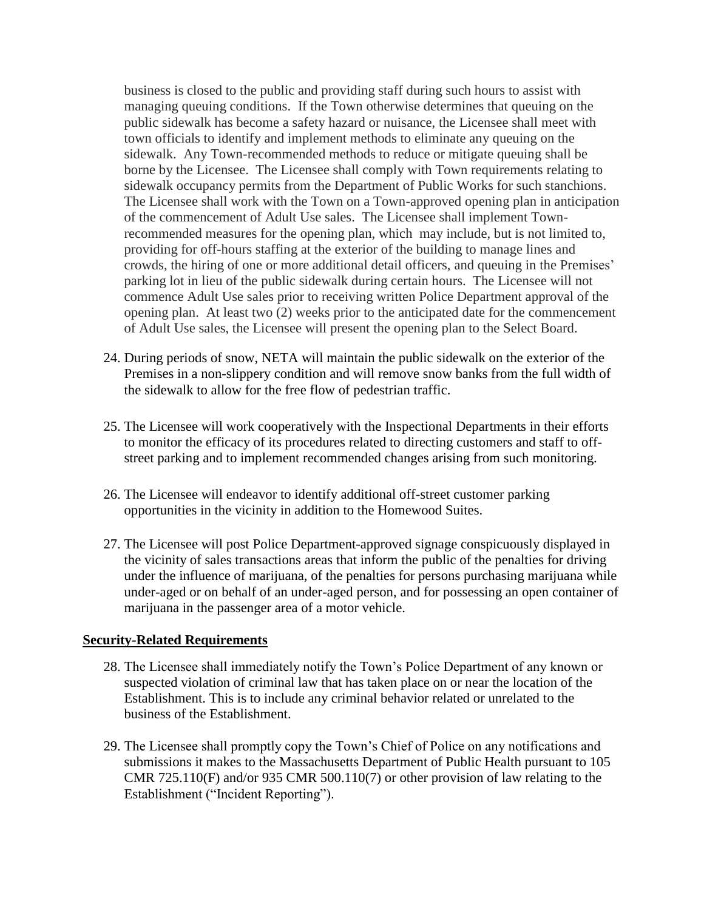business is closed to the public and providing staff during such hours to assist with managing queuing conditions. If the Town otherwise determines that queuing on the public sidewalk has become a safety hazard or nuisance, the Licensee shall meet with town officials to identify and implement methods to eliminate any queuing on the sidewalk. Any Town-recommended methods to reduce or mitigate queuing shall be borne by the Licensee. The Licensee shall comply with Town requirements relating to sidewalk occupancy permits from the Department of Public Works for such stanchions. The Licensee shall work with the Town on a Town-approved opening plan in anticipation of the commencement of Adult Use sales. The Licensee shall implement Townrecommended measures for the opening plan, which may include, but is not limited to, providing for off-hours staffing at the exterior of the building to manage lines and crowds, the hiring of one or more additional detail officers, and queuing in the Premises' parking lot in lieu of the public sidewalk during certain hours. The Licensee will not commence Adult Use sales prior to receiving written Police Department approval of the opening plan. At least two (2) weeks prior to the anticipated date for the commencement of Adult Use sales, the Licensee will present the opening plan to the Select Board.

- 24. During periods of snow, NETA will maintain the public sidewalk on the exterior of the Premises in a non-slippery condition and will remove snow banks from the full width of the sidewalk to allow for the free flow of pedestrian traffic.
- 25. The Licensee will work cooperatively with the Inspectional Departments in their efforts to monitor the efficacy of its procedures related to directing customers and staff to offstreet parking and to implement recommended changes arising from such monitoring.
- 26. The Licensee will endeavor to identify additional off-street customer parking opportunities in the vicinity in addition to the Homewood Suites.
- 27. The Licensee will post Police Department-approved signage conspicuously displayed in the vicinity of sales transactions areas that inform the public of the penalties for driving under the influence of marijuana, of the penalties for persons purchasing marijuana while under-aged or on behalf of an under-aged person, and for possessing an open container of marijuana in the passenger area of a motor vehicle.

#### **Security-Related Requirements**

- 28. The Licensee shall immediately notify the Town's Police Department of any known or suspected violation of criminal law that has taken place on or near the location of the Establishment. This is to include any criminal behavior related or unrelated to the business of the Establishment.
- 29. The Licensee shall promptly copy the Town's Chief of Police on any notifications and submissions it makes to the Massachusetts Department of Public Health pursuant to 105 CMR 725.110(F) and/or 935 CMR 500.110(7) or other provision of law relating to the Establishment ("Incident Reporting").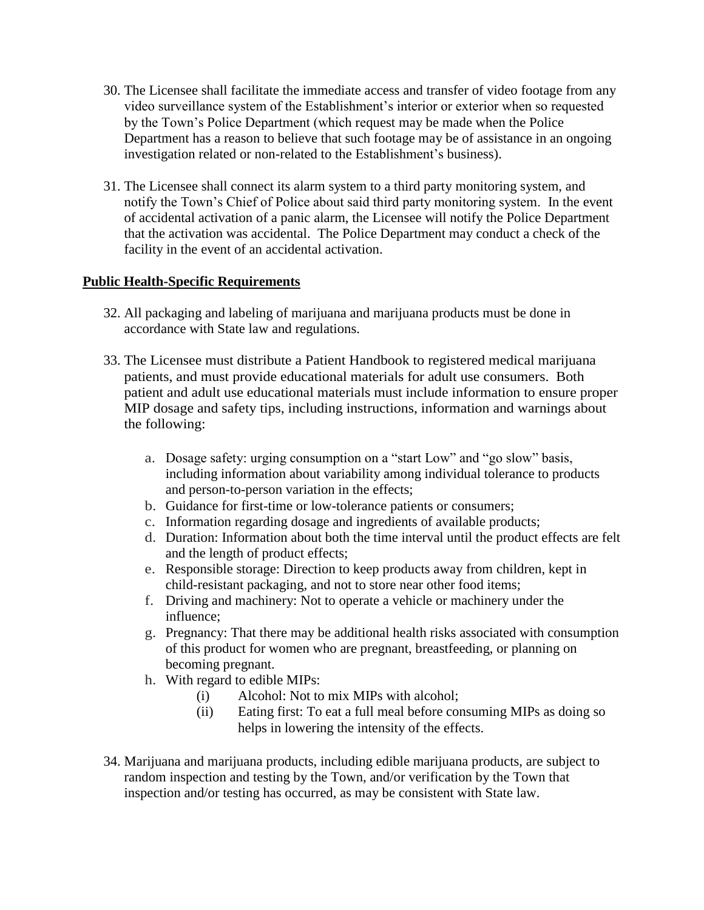- 30. The Licensee shall facilitate the immediate access and transfer of video footage from any video surveillance system of the Establishment's interior or exterior when so requested by the Town's Police Department (which request may be made when the Police Department has a reason to believe that such footage may be of assistance in an ongoing investigation related or non-related to the Establishment's business).
- 31. The Licensee shall connect its alarm system to a third party monitoring system, and notify the Town's Chief of Police about said third party monitoring system. In the event of accidental activation of a panic alarm, the Licensee will notify the Police Department that the activation was accidental. The Police Department may conduct a check of the facility in the event of an accidental activation.

# **Public Health-Specific Requirements**

- 32. All packaging and labeling of marijuana and marijuana products must be done in accordance with State law and regulations.
- 33. The Licensee must distribute a Patient Handbook to registered medical marijuana patients, and must provide educational materials for adult use consumers. Both patient and adult use educational materials must include information to ensure proper MIP dosage and safety tips, including instructions, information and warnings about the following:
	- a. Dosage safety: urging consumption on a "start Low" and "go slow" basis, including information about variability among individual tolerance to products and person-to-person variation in the effects;
	- b. Guidance for first-time or low-tolerance patients or consumers;
	- c. Information regarding dosage and ingredients of available products;
	- d. Duration: Information about both the time interval until the product effects are felt and the length of product effects;
	- e. Responsible storage: Direction to keep products away from children, kept in child-resistant packaging, and not to store near other food items;
	- f. Driving and machinery: Not to operate a vehicle or machinery under the influence;
	- g. Pregnancy: That there may be additional health risks associated with consumption of this product for women who are pregnant, breastfeeding, or planning on becoming pregnant.
	- h. With regard to edible MIPs:
		- (i) Alcohol: Not to mix MIPs with alcohol;
		- (ii) Eating first: To eat a full meal before consuming MIPs as doing so helps in lowering the intensity of the effects.
- 34. Marijuana and marijuana products, including edible marijuana products, are subject to random inspection and testing by the Town, and/or verification by the Town that inspection and/or testing has occurred, as may be consistent with State law.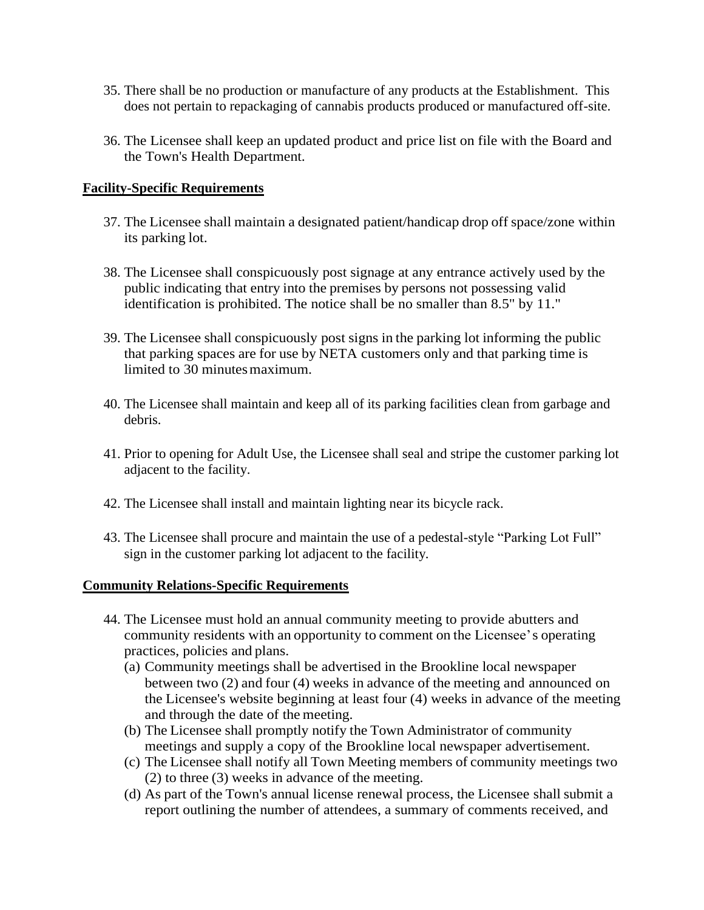- 35. There shall be no production or manufacture of any products at the Establishment. This does not pertain to repackaging of cannabis products produced or manufactured off-site.
- 36. The Licensee shall keep an updated product and price list on file with the Board and the Town's Health Department.

## **Facility-Specific Requirements**

- 37. The Licensee shall maintain a designated patient/handicap drop off space/zone within its parking lot.
- 38. The Licensee shall conspicuously post signage at any entrance actively used by the public indicating that entry into the premises by persons not possessing valid identification is prohibited. The notice shall be no smaller than 8.5" by 11."
- 39. The Licensee shall conspicuously post signs in the parking lot informing the public that parking spaces are for use by NETA customers only and that parking time is limited to 30 minutes maximum.
- 40. The Licensee shall maintain and keep all of its parking facilities clean from garbage and debris.
- 41. Prior to opening for Adult Use, the Licensee shall seal and stripe the customer parking lot adjacent to the facility.
- 42. The Licensee shall install and maintain lighting near its bicycle rack.
- 43. The Licensee shall procure and maintain the use of a pedestal-style "Parking Lot Full" sign in the customer parking lot adjacent to the facility.

#### **Community Relations-Specific Requirements**

- 44. The Licensee must hold an annual community meeting to provide abutters and community residents with an opportunity to comment on the Licensee's operating practices, policies and plans.
	- (a) Community meetings shall be advertised in the Brookline local newspaper between two (2) and four (4) weeks in advance of the meeting and announced on the Licensee's website beginning at least four (4) weeks in advance of the meeting and through the date of the meeting.
	- (b) The Licensee shall promptly notify the Town Administrator of community meetings and supply a copy of the Brookline local newspaper advertisement.
	- (c) The Licensee shall notify all Town Meeting members of community meetings two (2) to three (3) weeks in advance of the meeting.
	- (d) As part of the Town's annual license renewal process, the Licensee shall submit a report outlining the number of attendees, a summary of comments received, and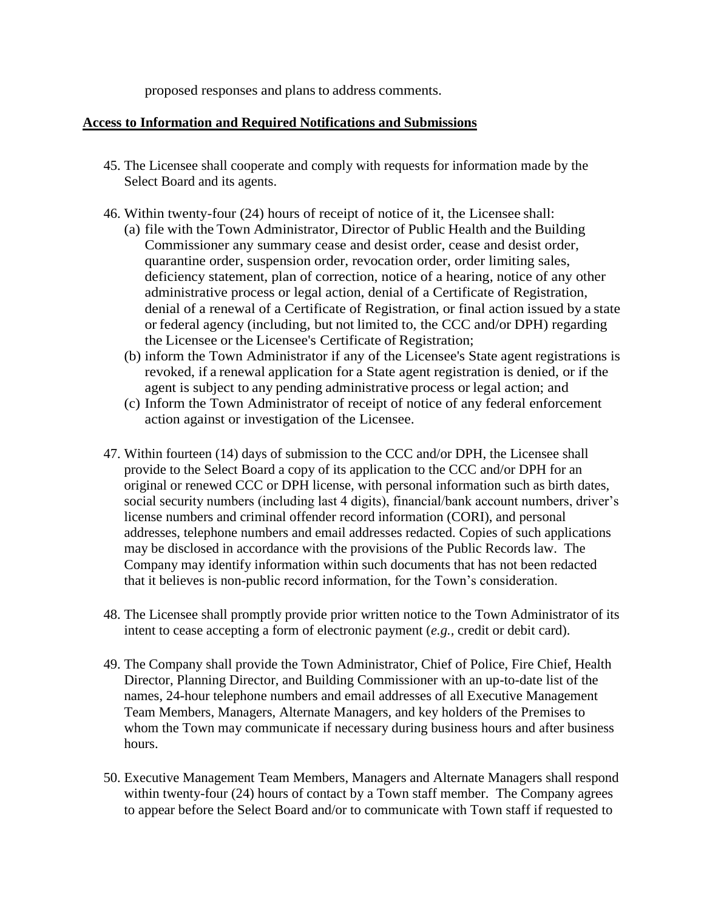proposed responses and plans to address comments.

#### **Access to Information and Required Notifications and Submissions**

- 45. The Licensee shall cooperate and comply with requests for information made by the Select Board and its agents.
- 46. Within twenty-four (24) hours of receipt of notice of it, the Licensee shall:
	- (a) file with the Town Administrator, Director of Public Health and the Building Commissioner any summary cease and desist order, cease and desist order, quarantine order, suspension order, revocation order, order limiting sales, deficiency statement, plan of correction, notice of a hearing, notice of any other administrative process or legal action, denial of a Certificate of Registration, denial of a renewal of a Certificate of Registration, or final action issued by a state or federal agency (including, but not limited to, the CCC and/or DPH) regarding the Licensee or the Licensee's Certificate of Registration;
	- (b) inform the Town Administrator if any of the Licensee's State agent registrations is revoked, if a renewal application for a State agent registration is denied, or if the agent is subject to any pending administrative process or legal action; and
	- (c) Inform the Town Administrator of receipt of notice of any federal enforcement action against or investigation of the Licensee.
- 47. Within fourteen (14) days of submission to the CCC and/or DPH, the Licensee shall provide to the Select Board a copy of its application to the CCC and/or DPH for an original or renewed CCC or DPH license, with personal information such as birth dates, social security numbers (including last 4 digits), financial/bank account numbers, driver's license numbers and criminal offender record information (CORI), and personal addresses, telephone numbers and email addresses redacted. Copies of such applications may be disclosed in accordance with the provisions of the Public Records law. The Company may identify information within such documents that has not been redacted that it believes is non-public record information, for the Town's consideration.
- 48. The Licensee shall promptly provide prior written notice to the Town Administrator of its intent to cease accepting a form of electronic payment (*e.g.,* credit or debit card).
- 49. The Company shall provide the Town Administrator, Chief of Police, Fire Chief, Health Director, Planning Director, and Building Commissioner with an up-to-date list of the names, 24-hour telephone numbers and email addresses of all Executive Management Team Members, Managers, Alternate Managers, and key holders of the Premises to whom the Town may communicate if necessary during business hours and after business hours.
- 50. Executive Management Team Members, Managers and Alternate Managers shall respond within twenty-four (24) hours of contact by a Town staff member. The Company agrees to appear before the Select Board and/or to communicate with Town staff if requested to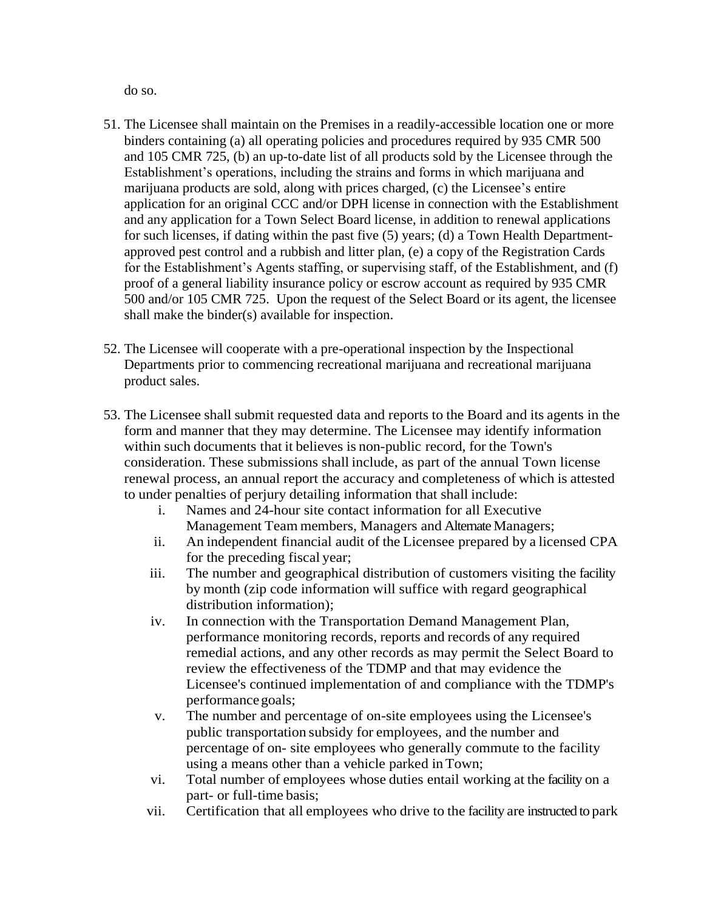do so.

- 51. The Licensee shall maintain on the Premises in a readily-accessible location one or more binders containing (a) all operating policies and procedures required by 935 CMR 500 and 105 CMR 725, (b) an up-to-date list of all products sold by the Licensee through the Establishment's operations, including the strains and forms in which marijuana and marijuana products are sold, along with prices charged, (c) the Licensee's entire application for an original CCC and/or DPH license in connection with the Establishment and any application for a Town Select Board license, in addition to renewal applications for such licenses, if dating within the past five (5) years; (d) a Town Health Departmentapproved pest control and a rubbish and litter plan, (e) a copy of the Registration Cards for the Establishment's Agents staffing, or supervising staff, of the Establishment, and (f) proof of a general liability insurance policy or escrow account as required by 935 CMR 500 and/or 105 CMR 725. Upon the request of the Select Board or its agent, the licensee shall make the binder(s) available for inspection.
- 52. The Licensee will cooperate with a pre-operational inspection by the Inspectional Departments prior to commencing recreational marijuana and recreational marijuana product sales.
- 53. The Licensee shall submit requested data and reports to the Board and its agents in the form and manner that they may determine. The Licensee may identify information within such documents that it believes is non-public record, for the Town's consideration. These submissions shall include, as part of the annual Town license renewal process, an annual report the accuracy and completeness of which is attested to under penalties of perjury detailing information that shall include:
	- i. Names and 24-hour site contact information for all Executive Management Team members, Managers and Alternate Managers;
	- ii. An independent financial audit of the Licensee prepared by a licensed CPA for the preceding fiscal year;
	- iii. The number and geographical distribution of customers visiting the facility by month (zip code information will suffice with regard geographical distribution information);
	- iv. In connection with the Transportation Demand Management Plan, performance monitoring records, reports and records of any required remedial actions, and any other records as may permit the Select Board to review the effectiveness of the TDMP and that may evidence the Licensee's continued implementation of and compliance with the TDMP's performance goals;
	- v. The number and percentage of on-site employees using the Licensee's public transportation subsidy for employees, and the number and percentage of on- site employees who generally commute to the facility using a means other than a vehicle parked inTown;
	- vi. Total number of employees whose duties entail working at the facility on a part- or full-time basis;
	- vii. Certification that all employees who drive to the facility are instructed to park